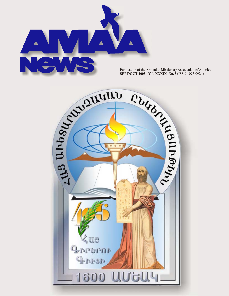

**SEPT/OCT 2005 - Vol. XXXIX No. 5** (ISSN 1097-0924)

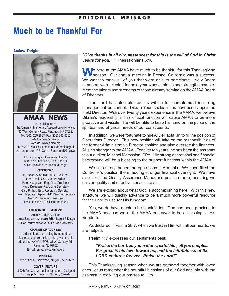## **E D I T O R I A L M E S S A G E**

# **Much to be Thankful For**

#### **Andrew Torigian**



**AMAA NEWS**

is a publication of the Armenian Missionary Association of America, 31 West Century Road, Paramus, NJ 07652. Tel. (201) 265-2607; Fax (201) 265-6015 E-Mail: amaa@amaa.org; Website: www.amaa.org The AMAA is a Tax Exempt, not for profit organization under IRS Code Section 501(c)(3)

> Andrew Torigian, Executive Director Dikran Youmshakian, Field Director Al DePaola Jr. Operations Manager

#### **OFFICERS**

H. Steven Aharonian, M.D. President John Cherkezian, Vice President Peter Kougasian, Esq., Vice President Harry Dulgarian, Recording Secretary Gary Phillips, Esq. Recording Secretary Eileen Chopourian Stephey, Ph.D. Recording Secretary Aram R. Minnetian, Treasurer David Hekemian, Assistant Treasurer

#### **EDITORIAL BOARD**

Andrew Torigian, Editor Louisa Janbazian, Associate Editor, Layout & Design Dikran Youmshakian & Al DePaola Advisors

#### **CHANGE OF ADDRESS**

In order to keep our mailing list up to date, please send all corrections, along with the old address to: AMAA NEWS, 31 W. Century Rd., Paramus, NJ 07652 E-mail: amaanews@amaa.org

#### **PRINTING**

Printsolutions, Englewood, NJ (201) 567-9622

#### **COVER PICTURE**

1600th Anniv. of Armenian Alphabet - Designed by Hagop Janbazian of Toronto, Canada

*"Give thanks in all circumstances; for this is the will of God in Christ* Jesus for you." I Thessalonians 5:18

**M** e here at the AMAA have much to be thankful for this Thanksgiving season. Our annual meeting in Fresno, California was a success. We want to thank all of you that were able to participate. New Board members were elected for next year whose talents and strengths complement the talents and strengths of those already serving on the AMAA Board of Directors.

The Lord has also blessed us with a full complement in strong management personnel. Dikran Youmshakian has now been appointed Field Director. With over twenty years' experience in the AMAA, we believe Dikran's leadership in this critical function will cause AMAA to be more proactive and visible. He will be able to keep his hand on the pulse of the spiritual and physical needs of our constituents.

In addition, we were fortunate to hire Al DePaola, Jr. to fill the position of Operations Director. This new position will take on the responsibilities of the former Administrative Director position and also oversee the finances. Al is no stranger to the AMAA. For over ten years, he has been the assistant to our auditor, Michael Matossian, CPA. His strong operational and financial background will be a blessing to the support functions within the AMAA.

We also strengthened the operations in Armenia. We have filled the Controller's position there, adding stronger financial oversight. We have also filled the Quality Assurance Manager's position there, ensuring we deliver quality and effective services to all.

We are excited about what God is accomplishing here. With this new structure, we will quickly advance to be a much more powerful resource for the Lord to use for His Kingdom.

Yes, we do have much to be thankful for. God has been gracious to the AMAA because we at the AMAA endeavor to be a blessing to His kingdom.

As declared in Psalm 28:7, when we trust in Him with all our hearts, we are helped.

Psalm 117 expresses our sentiments best:

*"Praise the Lord, all you nations; extol him, all you peoples. For great is his love toward us, and the faithfulness of the LORD endures forever. Praise the Lord!"*

This Thanksgiving season when we are gathered together with loved ones, let us remember the bountiful blessings of our God and join with the psalmist in extolling our praises to Him.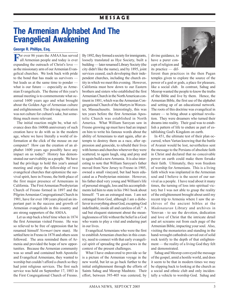## **M E S S A G E**

# **The Armenian Alphabet And The Evangelical Awakening**

### **George R. Phillips, Esq.**

**For over 86 years the AMAA has served all Armenian people and today is ever** expanding the outreach of Christ's love as the missionary arm of our Armenian Evangelical churches. We look back with pride to the bond that has made us survivors but leads us at the same time to ponder what is our future — especially as Armenian Evangelicals. The theme of this year's annual meeting is to commemorate what occurred 1600 years ago and what brought about the Golden Age of Armenian culture and enlightenment. The driving motivation was not culture for culture's sake, but something much more relevant.

The initial reaction might be, what relevance does this 1600th anniversary of such creation have to do with us in the modern age, where we have literally a world of information at the click of the mouse on our computer? How can the creation of an alphabet 1600 years ago possibly have any impact on us today? History has demonstrated our survivability as a people. We have had the privilege to hold this year's annual meeting and enjoy the fellowship of two evangelical churches that epitomize the survival spirit, here in Fresno, the birth place of the first major presence of Armenians in California. The First Armenian Presbyterian Church of Fresno formed in 1897 and the Pilgrim Armenian Congregational Church in 1901, have for over 100 years played an important part in the success and growth of Armenian evangelicals in this country and are strong supporters of the AMAA.

Let us step back a brief time when in 1874 the first Armenian visited Fresno. He was so relieved to be free of oppression that he renamed himself *Normart* (new man). He settled here in Fresno in 1878 and others soon followed. The area reminded them of Armenia and provided the hope of new opportunities. Because the Armenian community was so small and contained both Apostolic and Evangelical Armenians, they wanted to worship but couldn't afford a church so they had joint religious services. The first such service was held on September 17, 1883 in the First Congregational Church of Fresno. By 1892, they formed a society for immigrants, loosely translated as Hye Society, built a building — later renamed Library Society (the city didn't like the name), and by 1895, joint services ceased, each developing their independent churches, including the church entity in which we meet this evening. However, California must bow down to our Eastern brothers and sisters who established the first Armenian Church in the North American continent in 1881, which was the Armenian Congregational Church of the Martyrs in Worcester, Massachusetts. Interestingly, this was ten years before the first Armenian Apostolic Church was established in North America. What William Saroyan saw in Fresno growing up must have had an impact on him to write his famous words about the ability of Armenians to start again, after attempts to destroy them as a race, after oppression and genocide, to rebuild their lives with homes and churches wherever they were scattered, to again laugh, sing and pray and to again build a new Armenia. It is also interesting to note that William Saroyan's father moved from New Jersey to Fresno in 1905, owned a small vineyard, but had been educated as a Presbyterian minister. However, his father died very young and William's life of personal struggle, loss and his accomplishments led him to state in his 1961 book about himself: "I am an estranged man. I am not estranged from God, although I am a disbeliever in everything about God, excepting God indefinable, inside all and careless of all." A sad but eloquent statement about the meaninglessness of life without the belief in a God who wants to play a vital and enduring part in our lives.

Evangelical Armenians who were the first to establish Armenian churches in this country, need to connect with that early evangelical spirit of spreading the good news in the context of the present challenges.

What I have endeavored to provide so far is a picture of the Armenian voyage in the new world, but let us go back further to the initial enlightenment through the efforts of Saints Sahag and Mesrop Mashtotz. Their effort, between 395-405 was centered, by divine guidance, to have a purer concept of religion and its practice — dif-



ferent than practices in the then Pagan temples given to explore the source of the power of a god or gods, a place for pleasure, like a social club. In contrast, Sahag and Mesrop wanted the people to know the truths of the Bible and live by them. Hence, the Armenian Bible, the first use of the alphabet and setting up of an educational network. The roots of this doctrine was evangelical in nature — to bring about a spiritual revolution. They were dreamers who turned their dreams into reality. Their goal was to establish a pattern of life to endure as part of establishing God's Kingdom on earth.

In 451, the ultimate test of their plan occurred, when Vartan knowing that the battle of Avarair would be lost, nevertheless sent the message to the Persians of absolute faith in Christ and declared that no conceivable power on earth could make them forsake their faith. Ultimately, they won freedom of worship for Armenians. This is a living faith which was implanted in the Armenian soul and I believe is the secret of our survival as a people. I have read about it many times, the turning of loss into spiritual victory but I was not able to grasp the reality of the enlightenment brought about until my recent trip to Armenia where I saw the archives of the ancient bibles at the *Madenataran* Library and archives in Yerevan - to see the devotion, dedication and love of Christ that the intricate detail and art screams out from each page of the Armenian Bible, impacting your soul. Also, visiting the monasteries and standing in the hand-wrought cathedrals carved out of solid rock testify to the depth of that enlightenment — the reality of a living God they felt and demonstrated.

Sahag and Mesrop conveyed the message of the gospel, amid a hostile world, and does it seem to be that in modern times we may be slipping back to looking at the church as a social and ethnic club and only incidentally a vehicle to worship God. Sahag and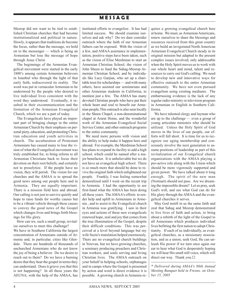## **M E S S A G E**

Mesrop did not want to be tied to established Christian churches that had become institutionalized and political in nature. Slowly, it appears that traditions do become the focus, rather than the message, we hold on to the messenger — which is being an Armenian but lose the message of hope through Jesus Christ.

The beginnings of the Armenian Evangelical movement were started in the early 1800's among certain Armenian believers in Istanbul who through the light of that early faith, rediscovered its reality. The word was put in vernacular Armenian to be understood by the people who desired to live individual lives consistent with the word they understood. Eventually, it resulted in their excommunication and the formation of the Armenian Evangelical Church, which we are a part of today.

The Evangelicals have played an important part of bringing change in the entire Armenian Church by their emphasis on personal piety, education, and promoting Christian education and youth activities in church. The acculturation of Protestant Armenians has caused many to lose the vision of what the Evangelical movement was truly established for, to bring reform to all Armenian Christians back to focus their devotion on their root beliefs; and certainly not to proselytize. If the people have no vision, they will perish. The vision for our churches and the AMAA is to spread the good news among our people here and in Armenia. They are equally important. There is a mission field here and abroad. Our calling is not just to survive quietly and hope to raise funds for worthy causes but to be a vibrant vehicle through these causes to convey the good news of the Gospel which changes lives and brings forth blessings for His glory.

How can we, such a small group, revitalize ourselves to meet this challenge? We have in Southern California the largest concentration of Armenians outside of Armenia and, in particular, cities like Glendale. There are hundreds of thousands of unchurched Armenians who do not know the joy of being a believer. Do we desire to reach out to them? Do we have a burning desire that they hear the gospel in terms they can understand. Does it grieve you that this is not happening? In all these years the AEUNA, with the help of the AMAA, has

instituted efforts to evangelize. It has had limited success. We should examine ourselves and ask why? Do we dare consider outreach where the faith of our Armenian fathers can be exposed. With the vision of a few, and AMAA assistance in implementation, positive steps have been taken, such as the vision of Elise Merdinian to start an Armenian Christian School, the vision of John Sheen to fund the Sahag-Mesrop Armenian Christian School, and by individuals like Lucy Garjian, who set up a charitable trust for scholarships — and with many others, have assisted our seminarians and other Armenian students in California, to mention just a few. The AMAA has many devoted Christian people who have put their whole heart and soul to benefit our Armenian people.This outreach is also seen locally in the Sheen Chapel, a non-denominational chapel at Ararat Home, and the wonderful work of the Armenian Evangelical Social Service Center, and other outreach programs to the entire community.

We need more persons with vision and the ability to help make it happen here and abroad. For example, the Merdinian School has plans to expand its facility to add a high school, which could be named after a major benefactor. It is unbelievable but we do not have an evangelical high school. There is so much more that should be done to revive the original faith which enlightened our people. Frankly, I was feeling somewhat demoralized until I went on the recent trip to Armenia. I had the opportunity to see first-hand what the AMAA has been doing all these years. The AMAA's efforts to render help and uplift to Armenians in Armenia , and to assist to the Evangelical church in Armenia was gratifying. I saw in their eyes and actions of these new evangelicals renewed hope, zeal and joy that comes from the true illumination of the Gospel, despite their difficult conditions. This was perceived at a level beyond language but my wife Suzie's translation helped enormously. There are no evangelical church buildings in Yerevan, but we have growing churches, a seminary producing preachers and Christian workers, and souls serving and living Christian lives. The AMAA outreach on your behalf in helping schools, orphanages and in camps where the Gospel is presented by action and word is direct evidence it is possible. A growing church in Armenia requires a growing evangelical church here at home. We must, as Armenian Americans, renew ourselves to share the blessings and resources received from this great country as we build an invigorated North American Armenian Evangelical Church steady in its original mission but adapted to the present complex issues involved; only addressable when the Holy Spirit moves us to work with our whole heart and mind, talent and resources to carry out God's calling. We need to develop new and innovative ways for effective outreach to the entire Armenian community. We have not even pursued evangelism using existing mediums. The embarrassing evidence is the lack of any regular radio ministry or television program in Armenian or English in Southern California.

We have talented clergy and layman who are up to the challenge — even a group of young articulate ministers who should be utilized. Unless the Holy Spirit of God moves in the lives of our people, our efforts will fall short. It is time for us to recognize our aging membership and consciously involve the next generation to assume positions of leadership as part of this revitalization of our Evangelical church organizations with the AMAA playing a pro-active role along with the Union which should be more vigorously supported and given power. We have talked about it long enough. The spirit of the new man (Normart) should not pass. Are we dreaming the impossible dream? Let us pray, seek God's will, and see what God can do for His glory through the AMAA and the evangelical churches it serves.

May God instill in us the same faith and zeal that Sahag and Mesrop demonstrated to live lives of faith and action, to bring about a rebirth of the light of the Gospel to all Armenians which produces individual lives befitting the first nation to adopt Christianity. If each of us individually, as evangelical churches, as a missionary association, and as a union, seek God, He can unleash His power if we turn once again our ear to hear what God is desperately hoping we will hear His small still voice, which will direct our way. Thank you. $\Box$ 

*\* Delivered during AMAA's 86th Annual Meeting Banquet held in Fresno, on October 15, 2005*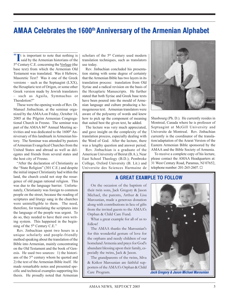# **AMAA Celebrates the 1600<sup>th</sup> Anniversary of the Armenian Alphabet**

**"** It is important to note that nothing is<br>
said by the Armenian historians of the It is important to note that nothing is 5th Century C.E. concerning the Vorlage (the base text) from which the Armenian Old Testament was translated. Was it Hebrew, Masoretic Text? Was it one of the Greek versions – such as the Septuagint (LXX), the Hexaplaric text of Origen, or some other Greek version made by Jewish translators – such as Aguila, Symmachus or Theodotion?"

These were the opening words of Rev. Dr. Manuel Jinbachian, at the seminar organized by the AMAA on Friday, October 14, 2005 at the Pilgrim Armenian Congregational Church in Fresno. The seminar was part of the AMAA 86<sup>th</sup> Annual Meeting activities and was dedicated to the 1600<sup>th</sup> Anniversary of this landmark in Armenian history. The Seminar was attended by pastors of Armenian Evangelical Churches from the United States and abroad as well as delegates and friends from several states and the host city of Fresno.

"After the declaration of Christianity as the "State Religion" (301 C.E.) and despite the initial impact Christianity had within the land, the church could not stop the resurgence of old pagan rational religion. This was due to the language barrier. Unfortunately, Christianity was foreign to common people on the street, because the reading of scriptures and liturgy sang in the churches were unintelligible to them. The need, therefore, for translating the scriptures into the language of the people was urgent. To do so, they needed to have their own writing system. This happened in the beginning of the 5<sup>th</sup> Century C.E."

Rev. Jinbachian spent two hours in a unique scholarly and people-friendly method speaking about the translation of the Bible into Armenian, mainly concentrating on the Old Testament and the book of Genesis. He used two sources: 1) the historians of the 5<sup>th</sup> century whom he quoted and 2) the text of the Armenian Bible itself. He made remarkable notes and presented specific and technical examples supporting his thesis. He proudly noted that Armenian scholars of the 5<sup>th</sup> Century used modern translation techniques, such as translators use today.

Rev. Jinbachian concluded his presentation stating with some degree of certainty that the Armenian Bible has two layers in its translation process: translation from Old Syriac and a radical revision on the basis of the Hexaplaric Manuscripts. He further stated that both Syriac and Greek base texts have been poured into the mould of Armenian language and culture producing a homogeneous text. Armenian translators were aware of the polysemy of words and knew how to pick up the component of meaning that suited best the given text, he added.

The lecture was very much appreciated, and gave insight on the complexity of the translation process, especially dealing with the Word of God. After the lecture, there was a lengthy question and answer period.

Rev. Jinbachian is a graduate of the American University of Beirut (B.A.), Near East School Theology (B.D.); Pembroke College, Oxford University (B. Lit.) and Universite des Sciences Harmaine de



Shasbourg (Ph. D.). He currently resides in Montreal, Canada where he is professor of Septuagint at McGill University and Universite de Montreal. Rev. Jinbachian currently is the coordinator of the translation/adaptation of the Ararat Version of the Eastern Armenian Bible sponsored by the AMAA and the Bible Society of Armenia.

To receive a complete copy of his lecture, please contact the AMAA Headquarters at: 31 West Century Road, Paramus, NJ 07652, telephone number: 201-265-2607. G

### **A GREAT EXAMPLE TO FOLLOW**

On the occasion of the baptism of their twin sons, Jack Gregory & Jason Michael, the parents, Arthur & Lisa Marounian, made a generous donation along with contributions in lieu of gifts from the invited guests to the AMAA's Orphan & Child Care Fund.

What a great example for all of us to follow!

The AMAA thanks the Marounian's for this wonderful gesture of love for the orphans and needy children of our homeland Armenia and prays for God's abundant blessing upon their family, especially the twins, Jack & Jason.

The grandparents of the twins, Silva & Krikor Marounian are faithful supporters of the AMAA's Orphan & Child Care Program.



*Jack Gregory & Jason Michael Marounian*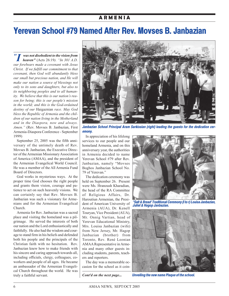### **A R M E N I A**

# **Yerevan School #79 Named After Rev. Movses B. Janbazian**

*" I was not disobedient to the vision from heaven"* (Acts 26:19*). "In 301 A.D. our forebears made a covenant with Jesus Christ. If we fulfill our commitment to that covenant, then God will abundantly bless our small but precious nation, and He will make our nation a source of blessings not only to its sons and daughters, but also to its neighboring peoples and to all humanity. We believe that this is our nation's reason for being; this is our people's mission in the world; and this is the God-ordained destiny of our* Haigaznian *race. May God bless the Republic of Armenia and the children of our nation living in the Motherland and in the Diaspora, now and always. Amen."* (Rev. Movses B. Janbazian, First Armenia-Diaspora Conference - September 1999)

September 25, 2005 was the fifth anniversary of the untimely death of Rev. Movses B. Janbazian, the Executive Director of the Armenian Missionary Association of America (AMAA), and the president of the Armenian Evangelical World Council. He was a member of the All Armenia Fund Board of Directors.

God works in mysterious ways. At the proper time God chooses the right people and grants them vision, courage and patience to act on such heavenly visions. We can certainly say that Rev. Movses B. Janbazian was such a visionary for Armenians and for the Armenian Evangelical Church.

Armenia for Rev. Janbazian was a sacred place and visiting the homeland was a pilgrimage. He served the interests of both our nation and the Lord enthusiastically and faithfully. He also had the wisdom and courage to stand firm in his beliefs and defended both his people and the principals of the Christian faith with no hesitation. Rev. Janbazian knew how to make friends with his sincere and caring approach towards all, including officials, clergy, colleagues, coworkers and people of all ages. He became an ambassador of the Armenian Evangelical Church throughout the world. He was truly a faithful servant.



*Janbazian School Principal Aram Sarkissian (right) leading the guests for the dedication ceremony.*

In appreciation of his lifelong services to our people and our homeland Armenia, and on this anniversary year, the authorities in Armenia decided to name Yerevan School #79 after Rev. Janbazian, namely "Movses Boghos Janbazian School No. 79 of Yerevan."

The dedication ceremony was held on September 26. Present were Ms. Hranoush Kharadian, the head of the RA Committee of Religious Affairs, Dr. Haroutiun Armenian, the President of American University of Armenia (AUA), Dr. Kenell Touryan, Vice President (AUA), Mr. Onnig Vartian, head of Yerevan Educational Ministry, Mrs. Louisa Janbazian (wife) from New Jersey, Mr. Hagop Janbazian (brother) from Toronto, Rev. René Leonian AMAA Representative in Armenia and many other guests including students, parents, teachers and reporters.

The day was a memorable occasion for the school as it coin-



*"Salt & Bread' Traditional Ceremony (l to r) Louisa Janbazian, Juliet & Hagop Janbazian.*



*Cont'd on the next page... Unveiling the new name Plaque of the school.*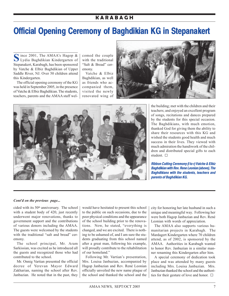## **K A R A B A G H**

# **Official Opening Ceremony of Baghdikian KG in Stepanakert**

**S**ince 2001, The AMAA's Hagop & Lydia Baghdikian Kindergarten of Stepanakert, Karabagh, has been sponsored by Vatche & Elbiz Baghdikian of Upper Saddle River, NJ. Over 50 children attend this Kindergarten.

The official opening ceremony of the KG was held in September 2005, in the presence of Vatche & Elbiz Baghdikian. The students, teachers, parents and the AMAA staff welcomed the couple with the traditional "Salt & Bread" ceremony.

Vatche & Elbiz Baghdikian, as well as friends who accompanied them, visited the newly renovated wing of





the building; met with the children and their teachers; and enjoyed an excellent program of songs, recitations and dances prepared by the students for this special occasion. The Baghdikians, with much emotion, thanked God for giving them the ability to share their resources with this KG and wished the students good health and much success in their lives. They viewed with much admiration the handiwork of the children and distributed special gifts to each student.  $\square$ 

*Ribbon Cutting Ceremony (l to r) Vatche & Elbiz Baghdikian with Rev. Rene Leonian (above), The Baghdikians with the students, teachers and parents of Baghdikian KG.*

#### *Cont'd on the previous page...*

cided with its 50<sup>th</sup> anniversary. The school with a student body of 420, just recently underwent major renovations, thanks to government support and the contributions of various donors including the AMAA. The guests were welcomed by the students with the traditional "salt and bread" ceremony.

The school principal, Mr. Aram Sarkissian, was excited as he introduced all the guests and recognized those who had contributed to the school.

Mr. Onnig Vartian presented the official decree of Yerevan Mayor Edward Zakharian, naming the school after Rev. Janbazian. He noted that in the past, they would have hesitated to present this school to the public on such occasions, due to the poor physical conditions and the appearance of the school building prior to the renovations. Now, he stated, "everything is changed, and we are excited. There is nothing to be ashamed of, and I am sure the students graduating from this school named after a great man, following his example, will proudly contribute to the rehabilitation of our homeland."

Following Mr. Vartian's presentation, Mrs. Louisa Janbazian, accompanied by Hagop Janbazian and Rev. René Leonian officially unveiled the new name plaque of the school and thanked the school and the city for honoring her late husband in such a unique and meaningful way. Following her were both Hagop Janbazian and Rev. René Leonian with words of appreciation.

The AMAA also supports various humanitarian projects in Karabagh. The Mardagert Kindergarten where 70 children attend, as of 2002, is sponsored by the AMAA. Authorities in Karabagh wanted to honor Rev. Janbazian in a similar manner renaming this Kindergarten after him.

A special ceremony of dedication took place and was attended by many guests including Mrs. Louisa Janbazian. Mrs. Janbazian thanked the school and the authorities for their gesture of love and honor.  $\Box$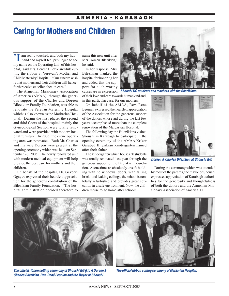## **A R M E N I A - K A R A B A G H**

# **Caring for Mothers and Children**

**" II** am really touched, and both my hus-<br>band and myself feel privileged to see am really touched, and both my hus my name on the Operating Unit of this hospital," said Mrs. Doreen Bilezikian while cutting the ribbon at Yerevan's Mother and Child Maternity Hospital. "Our sincere wish is that mothers and their children will henceforth receive excellent health care."

The Armenian Missionary Association of America (AMAA), through the generous support of the Charles and Doreen Bilezikian Family Foundation, was able to renovate the Yerevan Maternity Hospital which is also known as the Markarian Hospital. During the first phase, the second and third floors of the hospital, mainly the Gynecological Section were totally renovated and were provided with modern hospital furniture. In 2005, the entire operating area was renovated. Both Mr. Charles and his wife Doreen were present at the opening ceremony which was held on September 26, 2005. The newly renovated unit with modern medical equipment will help provide the best care for mothers and their children.

On behalf of the hospital, Dr. Gevorki Ogayev expressed their heartfelt appreciation for the generous contribution of the Bilezikian Family Foundation. "The hospital administration decided therefore to name this new unit after Mrs. Doreen Bilezikian," he said.

In her response, Mrs. Bilezikian thanked the hospital for honoring her and added that the support for such worthy

of their love and care towards humankind and, in this particular case, for our mothers.

On behalf of the AMAA, Rev. Rene Leonian expressed the heartfelt appreciation of the Association for the generous support of the donors whose aid during the last few years accomplished more than the complete renovation of the Margaryan Hospital.

The following day the Bilezikians visited Shoushi in Karabagh to participate in the opening ceremony of the AMAA Krikor Garabed Bilezikian Kindergarten named after their father.

The kindergarten which houses 50 students was totally renovated last year through the generous support of the Bilezikian Foundation. At one time, an absolutely unsafe building with no windows, doors, with falling bricks and leaking ceilings, the school is now totally refurbished and provides great education in a safe environment. Now, the children refuse to go home after school!



causes are an expression *Shoushi KG students and teachers with the Bilezikians.*



*Doreen & Charles Bilezikian at Shoushi KG.*

During the ceremony which was attended by most of the parents, the mayor of Shoushi expressed appreciation of Karabagh authorities for the generosity and thoughtfulness of both the donors and the Armenian Missionary Association of America.  $\square$ 



*The official ribbon cutting ceremony of Shoushi KG (l to r) Doreen & Charles Bilezikian, Rev. René Leonian and the Mayor of Shoushi..*

![](_page_7_Picture_18.jpeg)

*The official ribbon cutting ceremony of Markarian Hospital.*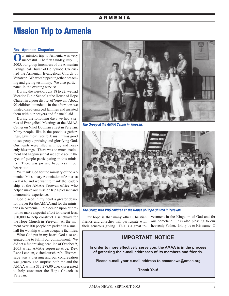### **A R M E N I A**

# **Mission Trip to Armenia**

#### **Rev. Apraham Chaparian**

**O**ur mission trip to Armenia was very successful. The first Sunday, July 17, 2005, our group (members of the Armenian Evangelical Church of Hollywood, CA) visited the Armenian Evangelical Church of Vanatzor. We worshipped together preaching and giving testimony. We also participated in the evening service.

During the week of July 18 to 22, we had Vacation Bible School at the House of Hope Church in a poor district of Yerevan. About 90 children attended. In the afternoon we visited disadvantaged families and assisted them with our prayers and financial aid.

During the following days we had a series of Evangelical Meetings at the AMAA Center on Nikol Douman Street in Yerevan. Many people, like in the previous gatherings, gave their lives to Jesus. It was good to see people praising and glorifying God. Our hearts were filled with joy and heavenly blessings. There was so much excitement and happiness that we could see in the eyes of people participating in this ministry. There was joy and happiness in our hearts too.

We thank God for the ministry of the Armenian Missionary Association of America (AMAA) and we want to thank the leadership at the AMAA Yerevan office who helped make our mission trip a pleasant and memorable experience.

God placed in my heart a greater desire for prayer for the AMAA and for the ministries in Armenia. I did decide upon our return to make a special effort to raise at least \$10,000 to help construct a sanctuary for the Hope Church in Yerevan. At the moment over 100 people are parked in a small hall for worship with no adequate facilities.

What God put in my heart, God also energized me to fulfill our commitment. We did set a fundraising deadline of October 9, 2005 when AMAA representative, Rev. Rene Leonian, visited our church. His message was a blessing and our congregation was generous to surprise both me and the AMAA with a \$13,278.00 check presented to help construct the Hope Church in Yerevan.

![](_page_8_Picture_9.jpeg)

*The Group at the AMAA Center in Yerevan.*

![](_page_8_Picture_11.jpeg)

*The Group with VBS children at the House of Hope Church in Yerevan.*

Our hope is that many other Christian friends and churches will participate with their generous giving. This is a great in-

vestment in the Kingdom of God and for our homeland. It is also pleasing to our heavenly Father. Glory be to His name.  $\square$ 

## **IMPORTANT NOTICE**

**In order to more effectively serve you, the AMAA is in the process of gathering the e-mail addresses of its members and friends.**

**Please e-mail your e-mail address to amaanews@amaa.org**

**Thank You!**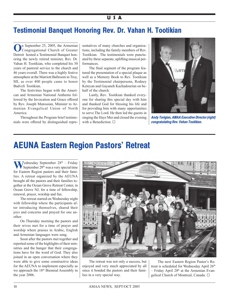### **U S A**

# **Testimonial Banquet Honoring Rev. Dr. Vahan H. Tootikian**

**O**n September 25, 2005, the Armenian Congregational Church of Greater Detroit hosted a Testimonial Banquet honoring the newly retired minister, Rev. Dr. Vahan H. Tootikian, who completed his 30 years of pastoral service to the church and 46 years overall. There was a highly festive atmosphere at the Marriott Ballroom in Troy, MI, as over 400 people came to honor Badveli Tootikian.

The festivities began with the American and Armenian National Anthems followed by the Invocation and Grace offered by Rev. Joseph Matossian, Minister to Armenian Evangelical Union of North America.

Throughout the Program brief testimonials were offered by distinguished representatives of many churches and organizations, including the family members of Rev. Tootikian. The testimonials were punctuated by three separate, uplifting musical performances.

The final segment of the program featured the presentation of a special plaque as well as a Memory Book to Rev. Tootikian by the Testimonial chairpersons, Rodney Keteyan and Gayaneh Kachadourian on behalf of the church.

Lastly, Rev. Tootikian thanked everyone for sharing this special day with him and thanked God for blessing his life and for providing him with many opportunities to serve The Lord. He then led the guests in singing the Hayr Mer and closed the evening with a Benediction.  $\square$ 

![](_page_9_Picture_8.jpeg)

*Andy Torigian, AMAA Executive Director (right) congratulating Rev. Vahan Tootikian.*

# **AEUNA Eastern Region Pastors' Retreat**

 $V_{\text{Sorts}}^{\text{ednesday}}$  September 28<sup>th</sup> – Friday September 29<sup>th</sup> was a very special time for Eastern Region pastors and their families. A retreat organized by the AEUNA brought all the pastors and their families together at the Ocean Grove Retreat Center, in Ocean Grove NJ, for a time of fellowship, renewal, prayer, worship and fun.

The retreat started on Wednesday night with fellowship where the participants after introducing themselves, shared their joys and concerns and prayed for one another.

On Thursday morning the pastors and their wives met for a time of prayer and worship where praises in Arabic, English and Armenian languages were sung.

Soon after the pastors met together and reported some of the highlights of their ministries and the hunger that their congregations have for the word of God. They also joined in an open conversation where they were able to give some constructive ideas for the AEUNA to implement especially as we approach the 18<sup>th</sup> Biennial Assembly in the year 2006.

![](_page_9_Picture_15.jpeg)

The retreat was not only a success, but enjoyed and very much appreciated by all since it bonded the pastors and their families in a very special way.

The next Eastern Region Pastor's Retreat is scheduled for Wednesday April 26<sup>th</sup>  $-$  Friday April 28<sup>th</sup> at the Armenian Evangelical Church of Montreal, Canada. □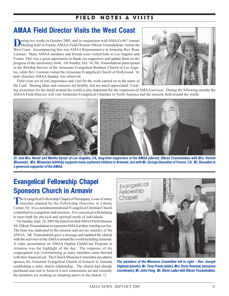## **FIELD NOTES & VISITS**

# **AMAA Field Director Visits the West Coast**

**During two weeks in October 2005, and in conjunction with AMAA's 86<sup>th</sup> Annual Meeting held in Fresno, AMAA Field Director Dikran Youmshakian visited the** West Coast. Accompanying him was AMAA Representative in Armenia, Rev. Rene Leonian. Many AMAA members and friends were visited both in Los Angeles and Fresno. This was a great opportunity to thank our supporters and update them on the progress of the missionary work. On Sunday, Oct. 16, Mr. Youmshakian participated in the Worship Service of the Armenian Evangelical Brethren Church of Los Angeles, while Rev. Leonian visited the Armenian Evangelical Church of Hollywood. At both churches AMAA Sunday was observed.

Field visits are of real importance and vital for the work carried on in the name of the Lord. Sharing ideas and concerns are healthy and are much appreciated. Creat-

![](_page_10_Picture_4.jpeg)

ing awareness for the needs around the world is also important for the expansion of AMAA services. During the following months the AMAA Field Director will visit Armenian Evangelical Churches in North America and the mission field around the world.

![](_page_10_Picture_6.jpeg)

*Dr. and Mrs. Norair and Martha Sarian of Los Angeles, CA, long-time supporters of the AMAA (above); Dikran Youmshakian with Mrs. Vartuhi Minassian. Mrs. Minassian faithfully supports many orphaned children in Armenia; and with Mr. George Daoudian of Fresno, CA. Mr. Daoudian is a generous supporter of the AMAA.*

# **Evangelical Fellowship Chapel Sponsors Church in Armavir**

The Evangelical Fellowship Chapel of Parsippany is one of many<br>churches planted by the Fellowship Deaconry in Liberty Corner, NJ. It is a nondenominational Evangelical Christian Church committed to evangelism and missions. It is concerned with helping to meet both the physical and spiritual needs of individuals.

On Sunday, Sept. 18, 2005 the church invited AMAA Field Director Mr. Dikran Youmshakian to represent AMAA at their worship service. The hour was dedicated to the mission and service ministry of the AMAA. Mr. Youmshakian gave a message and updated the church with the activities of the AMAA around the world including Armenia. A video presentation on AMAA Orphan Child/Care Program in Armenia was the highlight of the day. The response of the congregation was overwhelming as many members came forward with their financial aid. The Church Missions Committee decided to sponsor the Armenian Evangelical Church of Armavir in Armenia establishing a sister church relationship. The church had already purchased and sent to Armavir a new communion set and currently the members are working on donating spews to the church.  $\Box$ 

![](_page_10_Picture_11.jpeg)

*The members of the Missions Committee left to right – Rev. Joseph Vigilante (pastor), Mr. Terry Frantz (elder), Mrs. Doris Hummel, (missions coordinator), Mr. John Fang, Mr. Steve Ladas with Dikran Youmshakian.*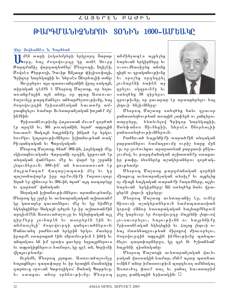### $LU3$ <sub>b</sub>  $CL$ <sub>b</sub>  $FL$ <sub>b</sub>  $LU$ <sub>b</sub>  $LU$

# ԹԱՐԳՄԱՆԻՉՆԵՐՈՒ ՏՕՆԻՆ 1600-ԱՄԵԱԿԸ

### վեր. Յովհաննէս Ն. Գարճեան

**II** մեն տարի Հոկտեմբերի երկրորդ Շարաթ<br>**1988՝** օրը, հայ ժողովուրդը կը տօնե Սուրբ Թարգմանիչ վարդապետներ՝ Մեսրոպի, Եղիշէի, Մովսէս Քերթողի, Դաւիթ Անյաղթ փիլիսոփայի, Գրիգոր Նարեկացիի եւ Ներսէս Շնորհայիի տօնը։

Սուրբերու այս պատուանդանին վրայ սակայն, տիրական դէմքն է Մեսրոպ Մաշտոց, որ եղաւ առանցքային այն անձը, որ զգաց Աստուածաշունչը թարգմանելու անհարժեշտութիւնը, հայ ժողովուրդին քրիստոնէական հաւատքր ամրապնդելու համար։ Աւետարանչական խոյանք մր՝  $h$ GfGhG:

Քրիստոնէութիւնը Հայաստան մուտք գործած էր արդէն եւ, 301 թուականին, եղած՝ ազգային hաւատք։ Սակայն հայրենիքը ինկած էր երկու hուժկու կայսրութիւններու իշխանութեան տակ՝ Բիւզանդական եւ Պարսկական։

Մեսրոպ Մաշտոց, ծնած՝ 362-ին, Հայեկացի մէջ, «կիսազնուական» վարդանի որդին, կրթուած էր տեղական վանքերու մէջ եւ վարժ էր շրջանի լեզուներուն։ 389-ին՝ ան հաստատուած էր մայրաքաղաք վաղարշապատի մէջ եւ կր պաշտօնավարէր իրը արքունիքի քարտուղար։ Եղած էր զինուոր եւ 394-ին, ձգած՝ այդ ասպարէզը եւ դարձած՝ վանական։

Տեղական իշխանութիւններու արտօնութեամբ, Մեսրոպ կը շրջէր եւ աւետարանչական աշխատանք կը կատարէր գաւառներու մէջ եւ կը հիմնէր եկեղեցիներ։ Սակայն դժգոհ էր իր աշխատանքին արդիւնքէն։ Աստուածաշուչը եւ եկեղեցական այլ գիրքերը յունարէն եւ ասորերէն էին եւ անմատչելի՝ ժողովուրդի զանգուածներուն։ Մանաւանդ բաժնուած երկրին երկու մասերը իրարմէ օտարացած էին։ «Տրտմութիւն է ինծի եւ անպակաս են իմ սրտիս ցաւերը եղբայրներուս եւ ազգակիցներուս համար», կը գրէ ան, Կորիւնի վկայութեամբ։

Ուրեմն, Մեսրոպ յղացաւ Աստուածաշունչը հայացնելու գաղափարը եւ իր երազին մասնակից դարձուց օրուան Կաթողիկոս՝ Սահակ Պարթեւր, եւ ստացաւ անոր օրհնութիւնը։ Մեսրոպ

անմինջապէս այցելեց հարեւան երկիրները եւ ուսումնասիրեց անոնց գիրն ու գրականութիւնը եւ որոշեց որդեգրել յունարէնի ձախէն աջ գրելու սկզբունքը եւ ստեղծեց 36 գիրերու

![](_page_11_Picture_10.jpeg)

դրութիւնը, որ բաւարար էր արտաբերելու հայ լեզուի հնչիւնները։

Մեսրոպ Մաշտոց ստեղծեց նաեւ գրաւոր րանաստեղծութեան առաջին չափերն ու յանգերու տարրերը, հետեւելով Գրիգոր Նարեկացիի, Ստեփանոս Սիւնեցիի, Ներսէս Շնորհայիի րանաստեղծութիւններուն։

Բաժնուած հայրենիքի տարածքին տեղական րարրառներու համադրումը ուրիշ հարց մրն էր, որ լուծուեցաւ արարատեան բարբառի ընկալումով, եւ թարգմանական աշխատանքը ստացաւ իր թափը, ձեռներէց աշակերտներու գործակցութեամբ։

Մեսրոպ Մաշտոց թարգմանական գործին միացուց աւետարանչական տեսիլք եւ այցելեց ոչ միայն հայկական տարածքի քաղաքները, այլեւ հարեւան երկիրները։ Ան ստեղծեց նաեւ վրացերէն լեզուի գիրերը։

Մեսրոպ Մաշտոց աւետարանիչ էր, ունէր Ցիսուսի աշակերտներուն համապատասխան կորով։ «Անոր հասարակական հայեացքներուն մէջ կարեւոր էր ժողովուրդը մայրենի լեզուով Intumin tint, hujniphili ni hujptahfp քրիստոնէական եկեղեցիի եւ Հայոց լեզուի ու հայ մատենագրութեան միջոցով միաւորելու, ժողովուրդին ազգային ինքնութիւնը պահպանելու գաղափարները», կը գրէ Ռ․ Իշխանեան՝ հայրենի գիտնականը։

Մեսրոպ Մաշտոցի աւետարանչական վաւերական վաստակին համար, մենք այսօր պատճառ ունինք անոր իմաստութիւն պարգեւող ամենակալ Աստուծոյ փառք տալ եւ ջանալ հաւատարիմ րլյալ թանկագին հրիտակին։  $\square$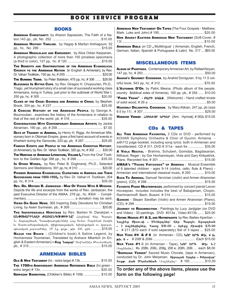## **B O O K S E R V I C E P R O G R A M**

#### **BOOKS**

| ARMENIAN CHRISTIANITY, by Aharon Sapsezian, The Faith of a Na-                                                                                                                                                                                                                                                                                                                                                                |
|-------------------------------------------------------------------------------------------------------------------------------------------------------------------------------------------------------------------------------------------------------------------------------------------------------------------------------------------------------------------------------------------------------------------------------|
| ARMENIAN HISTORY TIMELINE, by Hagop & Marilyn Arshagouni, 52                                                                                                                                                                                                                                                                                                                                                                  |
| ARMENIAN NEEDLELACE AND EMROIDERY, by Alice Odian Kasparian,                                                                                                                                                                                                                                                                                                                                                                  |
| A photographic collection of more than 100 priceless specimens                                                                                                                                                                                                                                                                                                                                                                |
| THE BENEFITS AND CONTRIBUTIONS OF THE ARMENIAN EVANGELICAL                                                                                                                                                                                                                                                                                                                                                                    |
| CHURCH TO THE ARMENIAN NATION (in English & Armenian), by Rev.                                                                                                                                                                                                                                                                                                                                                                |
| THE BURNING TIGRIS, by Peter Balakian, 475 pp, hc, #306  \$26.95                                                                                                                                                                                                                                                                                                                                                              |
| BLESSINGS IN BITTER CUPS, by Rev. Giragos H. Chopourian, Ph.D.,                                                                                                                                                                                                                                                                                                                                                               |
| Tragic, yet triumphant story of a small clan of successful working class<br>Armenians, living in Turkey, just prior to the outbreak of World War I,                                                                                                                                                                                                                                                                           |
| CLAWS OF THE CRAB: GEORGIA AND ARMENIA IN CRISIS, by Stephen                                                                                                                                                                                                                                                                                                                                                                  |
| A CONCISE HISTORY OF THE ARMENIAN PEOPLE, by George A.                                                                                                                                                                                                                                                                                                                                                                        |
| Bournoutian, examines the history of the Armenians in relation to                                                                                                                                                                                                                                                                                                                                                             |
| <b>CONVERSATIONS WITH CONTEMPORARY ARMENIAN ARTISTS, by Jackie</b>                                                                                                                                                                                                                                                                                                                                                            |
| DAYS OF TRAGEDY IN ARMENIA, by Henry H. Riggs. An Armerican Mis-                                                                                                                                                                                                                                                                                                                                                              |
| sionary born in Ottoman Empire, gives a first hand account of events in<br>Kharbert during the Genocide, 220 pp, pb, #267 \$25.00                                                                                                                                                                                                                                                                                             |
|                                                                                                                                                                                                                                                                                                                                                                                                                               |
| FAMOUS EVENTS AND PEOPLE IN THE ARMENIAN CHRISTIAN HISTORY,                                                                                                                                                                                                                                                                                                                                                                   |
| (in Armenian), by Rev. Dr. Vahan Tootikian, 320 pp, hc, #302  \$30.00                                                                                                                                                                                                                                                                                                                                                         |
| THE HERITAGE OF ARMENIAN LITERATURE, VOLUME I, From the Oral Tradi-<br>tion to the Golden Age 388 pp., hc, # 288  \$35.00                                                                                                                                                                                                                                                                                                     |
| In OTHER WORDS, by Rev. Peter B. Doghramji, Ph.D., Selected<br>Sermons and Meditations, 391 pp, hc, #310  \$20.00                                                                                                                                                                                                                                                                                                             |
| PIONEER ARMENIAN EVANGELICAL CLERGYMEN IN AMERICA AND THEIR                                                                                                                                                                                                                                                                                                                                                                   |
| Successors FROM 1880-1950, by Rev. Dr. Vahan H. Tootikian, 304                                                                                                                                                                                                                                                                                                                                                                |
| <b>REV. DR. MOVSES B. JANBAZIAN - MAN OF VISION WITH A MISSION.</b>                                                                                                                                                                                                                                                                                                                                                           |
| Depicts the life and excerpts from the works of Rev. Janbazian, the<br>past Executive Director of the AMAA. 278 pp., hc. #304 - Compli-                                                                                                                                                                                                                                                                                       |
|                                                                                                                                                                                                                                                                                                                                                                                                                               |
| VIEWS ON GOOD NEWS, 365 Inspiring Daily Devotions for Christian                                                                                                                                                                                                                                                                                                                                                               |
| THE INDISPENSABLE HERITAGE by Rev. Barkev N. Darakjian -                                                                                                                                                                                                                                                                                                                                                                      |
| ԱՆՓՈԽԱՐԻՆԵԼԻ ԺԱՌԱՆԳՈՒԹԻՒՆԸ՝ Հեղինակ՝ Վեր. Պարգեւ<br>Ն. Տարագ ճեան, Դասախօսութիւններ Հայ Աւետ. Շարժման մասին<br>եւ Աստուածաբանական, փիլիսոբայական, եկեղեցական ու վարդա-<br>պետական յօդուածներ, 317 էջ, թղթ., թիւ 308, գին  \$15.00<br>NAZAR THE BRAVE - (Children's book) A Satirie Legend, by<br>Hovhanness Toumanian, Translated by Arshavir Mkertich (in En-<br>glish & Eastern Armenian) - Ruy Նակար՝ Յովհաննէս Թումանեան, |

### ARMENIAN BIBLES

| OLD & NEW TESTAMENT (hc - extra large) #13k,  \$15.00         |  |
|---------------------------------------------------------------|--|
| THE 1700TH ANNIVERSARY ARMENIAN REFERENCE BIBLE (hc green -   |  |
|                                                               |  |
| <b>SERPAZAN BADMUTIUN, (Children's Bible) # 155b  \$10.00</b> |  |

ARMENIAN NEW TESTAMENT ON TAPES (The Four Gospels - Matthew, Mark, Luke and John) # 195, ............................................... \$20.00 NEW ARARAT EASTERN ARMENIAN NEW TESTAMENT (Soft-Cover, # 13l ......................................................................................... \$10.00 ARMENIAN BIBLE ON CD, Multilingual (Armenian, English, French, German, Italian, Spanish & Portuguese & Latin) No. 317....\$65.00

### MISCELLANEOUS ITEMS

| ALBUM OF PAINTINGS, Contemporary Armenian Art, by Rafael Atoyan,                                                                  |
|-----------------------------------------------------------------------------------------------------------------------------------|
| Аманир's Gourmet Сооквоок, by Anahid Doniguian. 9 by 11.5 col-                                                                    |
| L'AUTOMNE D'OR, by Patric Mesna, (Photo album of the people,<br>country & biblical sides of Armenia), 160 pp, pb., # 254  \$10.00 |
| "PAREE YEGAK" - FU. Pb b4U.R. (Welcome) - Hand crafted trivets                                                                    |
| HEAVENLY DELIGHTFUL COOKBOOK, by Mary Atikian, 247 pp, pb (size                                                                   |
| HOKEVOR YERKER - 209-Chop CP9-CP (Arm. Hymnal), # 002c \$15.00                                                                    |

### CDs & TAPES

ALL TIME ARMENIAN FAVORITES, 3 CDs or DVD - performed by KOHAR Symphony Orchestra & Choir of Gyumri, Armenia with112 page booklet, including song lyrics: both in Armenian and transliterated, CD # 311, DVD # 311a - each for ................. \$35.00 A VIOLA RECITAL - Brahms, Schubert, Gomidas, Bagdasarian, Milhaud, Reger - by Gor Hovhannisyan, Viola and Gary Kirkpatrick, Piano. Recorded live, # 301 ................................................. \$15.00 AMAA'S "YOUNG VIRTUOSOS" OF ARMENIA - Musical Ensemble of 6 talented children - ages 9-14 (violins, cello, flute & Piano) - Armenian and international classical music, # 293 ............. \$10.00 **BACK TO ARMENIA, Samuel Yervinian (violin) and Armen Aharonian** (piano), (CD), # 298 .............................................................. \$15.00 **FAVORITE PIANO MASTERPIECES, performed by concert pianist Levon** Hovsepian. Includes includes the best of Babajanian, Chopin, Rachmaninoff, Bach, Busoni. # 314 ................................... \$15.00 GARODK - Stepan Sarafian (Violin) and Armen Aharonian (Piano), (CD), # 299 ........................................................................... \$15.00 Journey To RESURRECTION - Paintings by Lucy Janjigian (on DVD and Video) - 33 paintings, DVD #313a , Video #313b....... \$25.00 NAYINK HISOUSI #1 & 2, AND HAYREPAGHTS by Rev. Barkev Apartian -Նայինք Յիսուսի - Մեներգներ՝ Վեր. Պարգեւ Աբարդեան - 3 ձայներիսներ, հատը \$10.00 - երեբը միասին \$25.00  $-$  # 211 (\$10 each if sold separately) Set of 3 tapes ... \$25.00 Nor YERK  $#4 \& # 6$  (in Armenian - CD),  $U \cap \Gamma$  broth  $4$  bu jiu Î - # 208f & 208ii ............................................. Each \$15.00 Nor YERK  $#1-6$  (in Armenian - Tape),  $U \cap R$   $U \cap R$   $\Theta$ h. 1-2 (]a\n;rix)4 #s. 208b, 208c, 208g, 208 e, 208h, 208i ... each \$8.00 "SERPAZAN YERKER" Sacred Music Chorale, (tape in Armenian), conducted by Dr. John Merjanian, Unpuuuu bnqbn - bupuuuun' Sopp. *K*uu Մերանեան (ձայներիս) # 193 ................ \$10.00

**To order any of the above items, please use the form on the following page!**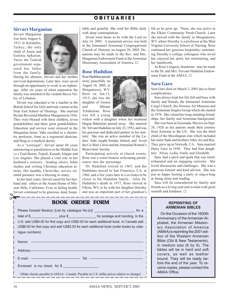## **O B I T U A R I E S**

### **Sirvart Marganian**

Sirvart Marganian was born August 6, 1913 in Kershekir, Turkey, the only child of Arsen and Gulenia Apkarian. Twice the Turkish government separated her father from the family.

![](_page_13_Picture_3.jpeg)

During his absence, Sirvart and her mother survived deportations. Later they were saved through an opportunity to work in an orphanage. After six years of silent separation the family was reunited in the verdant Becca Valley of Lebanon.

Sirvart was educated to be a teacher at the British School for Girls and took courses at the Near East School of Theology. She married the late Reverend Mardiros Marganian in 1936. They were blessed with three children, seven grandchildren and three great grandchildren. Education and service were stressed in the Marganian home. Vahe excelled as a chemistry professor, Anne as a registered dietician, and Hrag as a medical doctor.

As a "yeretzgin", Sirvart spent 40 years ministering to parishioners in the Middle East i.e.) Trad-Beirut, Tripoli, Kessab, Aleppo and Los Angeles. She played a vital role in her husband's ministry –leading choirs, bible studies and writing Christian education articles. Her humble, Christ-like, service oriented presence was a blessing to many.

In her later years, Sirvart cared for her husband and others at the Ararat Home of Mission Hills, California. Even in failing health, Sirvart continued to be gracious, kind, hospitable and grateful. She read her Bible daily with deep contemplation.

Sivart went home to be with the Lord on July 14, 2005. A memorial service was held at the Immanuel Armenian Congregational Church of Downey on August 28, 2005. Donations may be made to the Rev. and Mrs. Marganian Endowment Fund at the Armenian Missionary Association of America.  $\square$ 

### **Rose Hadidian**

Rose Hadidian passed away peacefully on August 16, 2005, in Morgantown, WV. Born on Jan,15, 1915, she was the daughter of Armen and Miriam Tchakarian. Rose was left a young

widow with a daughter when her husband Hagop Bakerjian passed away. She married Dr. Yervant Hadidian on July 23, 1952, and was his gracious and dedicated partner in his ministry. She was an active member of the Ladies' Aide, taught Sunday School, and loved the Co-Wed Circle and the Armenian Women's Benevolent Society.

Participating actively in church events, Rose was a warm hostess welcoming parishioners into the parsonage.

Dr. Hadidian retired in 1965, and the Hadidians moved to San Francisco, CA, in 1966, and a few years later to Los Gatos to be closer to the Hadidian family. After Dr. Hadidian's death in 1977, Rose moved to Elkins, WV, to be with her daughter Dorothy and was an important part of her grandson's

| <b>BOOK ORDER FORM</b>                                                                                                                                                           |
|----------------------------------------------------------------------------------------------------------------------------------------------------------------------------------|
| Please forward Book(s) {List by catalogue No.(s)} ______________________________ for a                                                                                           |
| total of \$_______________________ plus \$____________________ for postage and handing. In the                                                                                   |
| U.S. add US\$4.00 for first copy and US\$2.00 for each additional book. In Canada add<br>US\$6.00 for first copy and add US\$3.00 for each additional book (order books by cata- |
| logue numbers).                                                                                                                                                                  |
|                                                                                                                                                                                  |
|                                                                                                                                                                                  |
|                                                                                                                                                                                  |
| Enclosed is my check for \$                                                                                                                                                      |
| (Make checks payable to AMAA - Canada: Payable in U.S. dollar prices subject to change)                                                                                          |

life as he grew up. There, she was active in the Elkins Community Presb.Church. Later she moved with the family to Morgantown, WV, where Dorothy is a professor at the West Virginia University School of Nursing. Rose continued her gracious hospitality, entertaining Dorothy's college colleagues who loved her, enjoyed her spirit, her entertaining, and her handiwork.

At Rose's request, donations may be made to the Dr. and Mrs. Yervant Hadidian Endowment Fund at the AMAA $\Box$ 

### **Sara Garo**

Sara Garo died on March 2, 2005 due to heart complications.

Sara always kept her life full and busy with family and friends, the Immanuel Armenian Cong'l Church, the Downey Art Museum and the Armenian Singles Group which she started in 1978. She valued her long-standing friendships, her family and Armenian background.

She was born in Ensenada, Mexico on Sept. 26, 1926 as her parents made their journey from Armenia to the US. She was the third child of the Mooshagian clan which included her sister Sada and brothers John, Art and Ray. They grew up in Norwalk, CA. Sara married Harry Garo in 1950. They had four daughters: Alicia, Lydia, Emily and Elizabeth.

Sara had a spirit and spark that was rarely exhausted and an engaging curiosity. She loved discussions and challenges. She was a generous listener and kind advisor. She was just as happy hosting a party or sing-a-long as being alone and reading.

Sara will be remembered by family and friends as a loving soul and woman with great warmth and kindness.  $\square$ 

#### **REPRINTING OF ARMENIAN BIBLES**

On the Occasion of the 1600th Anniversary of the Armenian Alphabet, the Armenian Missionary Association of America (AMAA) is reprinting the 2001 edition of the Western Armenian Bible (Old & New Testaments), in medium size (6 by 9). The bibles will be in hard and soft covers, as well as leather bound. They will be ready before the end of the year. To receive copies, please contact the AMAA Office.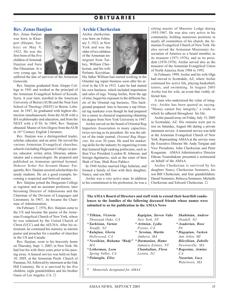## **O B I T U A R I E S**

### **Rev. Zenas Ilanjian**

Rev. Zenas Ilanjian was born in Kharpert (Harput, Turkey) on May 9, 1922. He was the first-born of the five children of Armenak Ilanjian and Sara Der Ghazarian. At a very young age, he

![](_page_14_Picture_3.jpeg)

suffered the fate of survivor of the Armenian Genocide.

Rev. Ilanjian graduated from Aleppo College in 1941 and worked as the principal of the Armenian Evangelical School of Kessab, Syria. A year later, enrolled in the American University of Beirut (AUB) and the Near East School of Theology (NEST) in Beirut, Lebanon. In 1947, he graduated with highest distinction simultaneously from the AUB with a BA in philosophy and education, and from the NEST with a D.Th. In 1969, Rev. Ilanjian obtained Master of Arts Degree from the AUB in 16th Century English Literature.

Rev. Ilanjian was a distinguished leader, scholar, educator, and an artist. He served the various Armenian Evangelical churches, schools (including Haigazian College) as pastor, educator, writer, artist, librarian, administrator and a musicologist. He prepared and published an Armenian spiritual hymnal, *Hokevor Yerker Nor Serounti Hamar*. Frequently, Rev. Ilanjian secured scholarships for needy students. He set a good example, becoming a respected and beloved mentor.

Rev. Ilanjian joined the Haigazian College as registrar and an assistant professor, later becoming Director of Admissions and the Chairman of the Division of Languages and Literatures. In 1967, he became the Chairman of Administration.

On February 7, 1976, Rev. Ilanjian came to the US and became the pastor of the Armenian Evangelical Church of New York, where he was ordained by the United Church of Christ (UCC) and the AEUNA. After his retirement, he continued his ministry as interim pastor and preacher for a number of churches in the US and Canada.

Rev. Ilanjian, went to his heavenly home on Thursday, Sept. 1, 2005, in New York. He had lost his wife three years prior to his passing away. A funeral service was held on Sept. 10, 2005, at the Armenian Presb. Church of Paramus, NJ, followed by interment at the Oak Hill Cemetery. He is is survived by his five children, eight grandchildren and his brother Gauis of Los Angeles, CA. □

### **Archie Cherkezian**

Archie cherkezian, was born on February 5, 1923, in New York and was the older of two children of the Armenian immigrant from Turkey, William Cherkezian, and his wife Perlanty Keyishian.

![](_page_14_Picture_12.jpeg)

His father William had started working in the Oriental rug repair business soon after his arrival in the US in 1912. Later he had started his own business, which included importation and sales of rugs. Young Archie, from the age of nine, began his exposure to the different facets of the Oriental rug business. This background prepared him to become a top Oriental rug marketer even though he had prepared for a career in chemical engineering obtaining his degree from New York University in 1947.

Archie served on the board of Oriental Rug Importers Association in many capacities, twice serving as its president. He was the editor of the trade journal, *Oriental Rug Magazine,* for over 30 years. He used his marketing skills for the industry by organizing events that featured high-ranking politicians, such as then Vice President Lyndon B. Johnson, and foreign dignitaries, such as the sister of then Shah of Iran, Shah Reza Pahlavi.

In 1949 Archie married Olga Safarian, and formed a family of four with their daughter, Nancy, and son Bill.

Archie was a very active man: In addition to his commitment to his profession, he was a sitting master of Masonic Lodge during 1955-1967. He was also very active in his community, holding numerous positions in nearly all committees of his church, the Armenian Evangelical Church of New York. He also served the Armenian Missionary Association of America as a board member, as its treasurer (1971-1976), and as its president (1976-1978). Archie served also as the treasurer of the Armenian Evangelical Union of North America from 1988 to 1992.

In February 1999, Archie and his wife Olga had moved to Scottsdale, AZ, where Archie continued his active life, playing basketball, tennis, and swimming. In August 2003 Archie lost his wife, an event that visibly affected him.

A man who understood the value of integrity; Archie has been quoted as saying: "Money cannot buy integrity," a credo to which he adhered throughout his life.

Archie passed away on Friday, July 15, 2005 in Scottsdale, AZ. His remains were put to rest on Saturday, August 6th during a private interment service. A memorial service was held at the Armenian Evangelical Church of New York. Representing AMAA at the service were the Executive Director Mr. Andy Torigian and Vice Presidents, John Cherkezian and Peter Kougasian. AMAA Administrative Director Dikran Youmshakian presented a testimonial on behalf of the AMAA.

Archie Cherkezian is survived by his daughter Nancy Cherkezian Sommers, his son Bill Cherkezian, and four grandchildren: Daniel Sommers, Rebecca Sommers, Michelle Cherkezian and Edward Cherkezian. G

*Vahe* 

**The AMAA Board of Directors and staff wish to extend their heartfelt condolences to the families of the following deceased friends whose names were submited to us for publication in the AMAA News**

| <i>* Tilkian, Victoria</i> | Kapigian, Steven Va |
|----------------------------|---------------------|
| Thousand Oaks, CA          | New York, NY        |
| * Sarkisian, Vartan        | * Artinian, Lydia   |
| Tenafly, NJ                | Fresno. CA          |
| <i>*Kalajian, Gloria</i>   | * Sevoian, Martin   |
| Hollywood, CA              | Amherst, MA         |
| *Nessikian, Ruhama "Rudy"  | * Darmanian, Hamo   |
| M A                        | Jamaica Estates, NY |
| *Letherman, Leon           | Chankalian, Flora   |
| Spring Valley, CA          | Leonia, NJ          |
| *Polatoglu, Elise          |                     |
|                            |                     |

*Shahinian, Andrew Oradell, NJ*

*\* Asadorian, Rose PA*

*\* Hagopian, Vasken Ann Arbor, MI Bilezikian, Zabelle Newtonville, MA \* Bogosian, Armine CA Nazarian, Lucy*

*Watertown, MA*

*\* Memorials designated for AMAA*